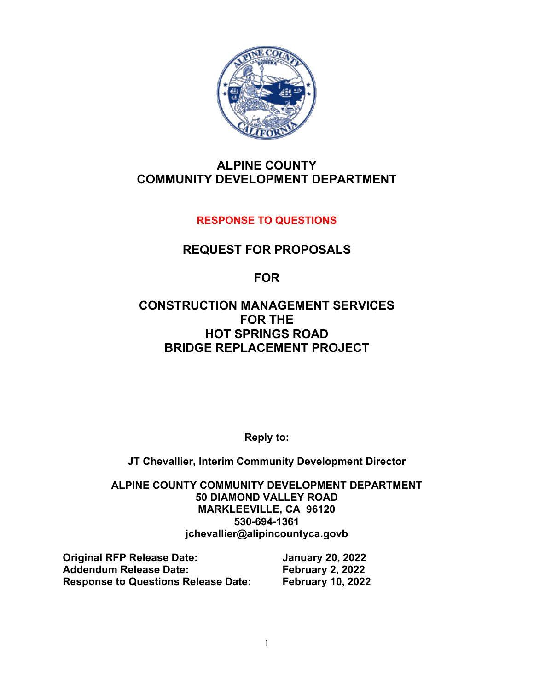

## **ALPINE COUNTY COMMUNITY DEVELOPMENT DEPARTMENT**

## **RESPONSE TO QUESTIONS**

## **REQUEST FOR PROPOSALS**

**FOR**

## **CONSTRUCTION MANAGEMENT SERVICES FOR THE HOT SPRINGS ROAD BRIDGE REPLACEMENT PROJECT**

**Reply to:**

**JT Chevallier, Interim Community Development Director**

**ALPINE COUNTY COMMUNITY DEVELOPMENT DEPARTMENT 50 DIAMOND VALLEY ROAD MARKLEEVILLE, CA 96120 530-694-1361 jchevallier@alipincountyca.govb**

| <b>Original RFP Release Date:</b>          | <b>January 20, 2022</b>  |
|--------------------------------------------|--------------------------|
| <b>Addendum Release Date:</b>              | February 2, 2022         |
| <b>Response to Questions Release Date:</b> | <b>February 10, 2022</b> |